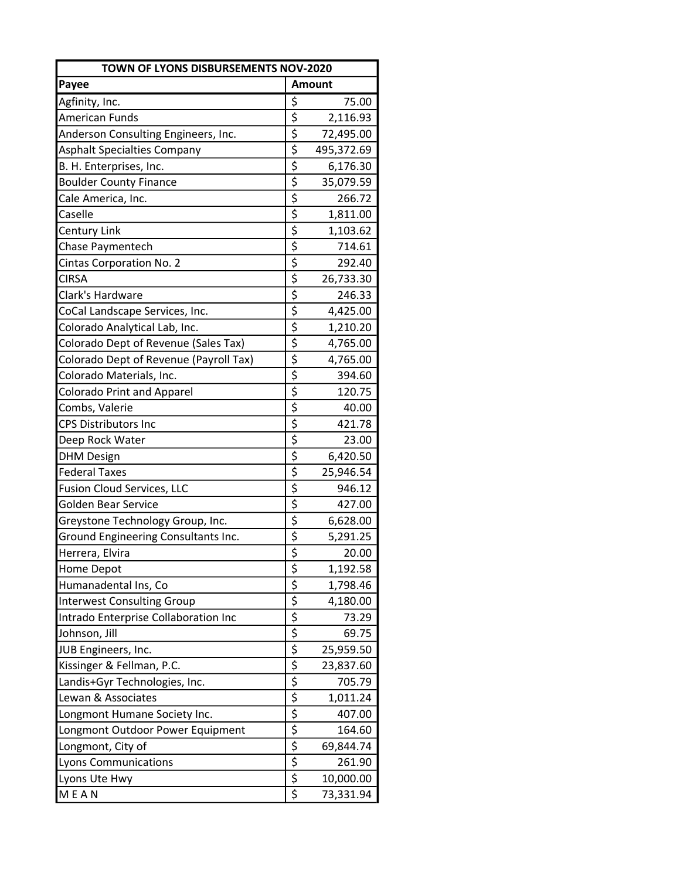| TOWN OF LYONS DISBURSEMENTS NOV-2020   |                                     |            |  |  |
|----------------------------------------|-------------------------------------|------------|--|--|
| Payee                                  | <b>Amount</b>                       |            |  |  |
| Agfinity, Inc.                         | \$                                  | 75.00      |  |  |
| <b>American Funds</b>                  | \$                                  | 2,116.93   |  |  |
| Anderson Consulting Engineers, Inc.    | \$                                  | 72,495.00  |  |  |
| <b>Asphalt Specialties Company</b>     | \$                                  | 495,372.69 |  |  |
| B. H. Enterprises, Inc.                | \$                                  | 6,176.30   |  |  |
| <b>Boulder County Finance</b>          | \$                                  | 35,079.59  |  |  |
| Cale America, Inc.                     | $\overline{\varsigma}$              | 266.72     |  |  |
| Caselle                                | \$                                  | 1,811.00   |  |  |
| Century Link                           | \$                                  | 1,103.62   |  |  |
| Chase Paymentech                       | $\overline{\xi}$                    | 714.61     |  |  |
| <b>Cintas Corporation No. 2</b>        | $\overline{\xi}$                    | 292.40     |  |  |
| <b>CIRSA</b>                           | \$                                  | 26,733.30  |  |  |
| Clark's Hardware                       | \$                                  | 246.33     |  |  |
| CoCal Landscape Services, Inc.         | $\overline{\varsigma}$              | 4,425.00   |  |  |
| Colorado Analytical Lab, Inc.          | \$                                  | 1,210.20   |  |  |
| Colorado Dept of Revenue (Sales Tax)   | \$                                  | 4,765.00   |  |  |
| Colorado Dept of Revenue (Payroll Tax) | \$                                  | 4,765.00   |  |  |
| Colorado Materials, Inc.               | $\overline{\boldsymbol{\varsigma}}$ | 394.60     |  |  |
| <b>Colorado Print and Apparel</b>      | $\overline{\varsigma}$              | 120.75     |  |  |
| Combs, Valerie                         | \$                                  | 40.00      |  |  |
| <b>CPS Distributors Inc</b>            | \$                                  | 421.78     |  |  |
| Deep Rock Water                        | \$                                  | 23.00      |  |  |
| <b>DHM Design</b>                      | \$                                  | 6,420.50   |  |  |
| <b>Federal Taxes</b>                   | \$                                  | 25,946.54  |  |  |
| <b>Fusion Cloud Services, LLC</b>      | $\overline{\xi}$                    | 946.12     |  |  |
| Golden Bear Service                    | $\overline{\varsigma}$              | 427.00     |  |  |
| Greystone Technology Group, Inc.       | \$                                  | 6,628.00   |  |  |
| Ground Engineering Consultants Inc.    | \$                                  | 5,291.25   |  |  |
| Herrera, Elvira                        | \$                                  | 20.00      |  |  |
| Home Depot                             | \$                                  | 1,192.58   |  |  |
| Humanadental Ins, Co                   | $\overline{\xi}$                    | 1,798.46   |  |  |
| <b>Interwest Consulting Group</b>      |                                     | 4,180.00   |  |  |
| Intrado Enterprise Collaboration Inc   | $rac{1}{2}$                         | 73.29      |  |  |
| Johnson, Jill                          |                                     | 69.75      |  |  |
| JUB Engineers, Inc.                    | $rac{5}{5}$                         | 25,959.50  |  |  |
| Kissinger & Fellman, P.C.              | $\overline{\xi}$                    | 23,837.60  |  |  |
| Landis+Gyr Technologies, Inc.          |                                     | 705.79     |  |  |
| Lewan & Associates                     | $\frac{1}{5}$                       | 1,011.24   |  |  |
| Longmont Humane Society Inc.           | $\overline{\frac{1}{2}}$            | 407.00     |  |  |
| Longmont Outdoor Power Equipment       | \$                                  | 164.60     |  |  |
| Longmont, City of                      | $\overline{\varsigma}$              | 69,844.74  |  |  |
| <b>Lyons Communications</b>            | $\overline{\xi}$                    | 261.90     |  |  |
| Lyons Ute Hwy                          | $\overline{\xi}$                    | 10,000.00  |  |  |
| <b>MEAN</b>                            | \$                                  | 73,331.94  |  |  |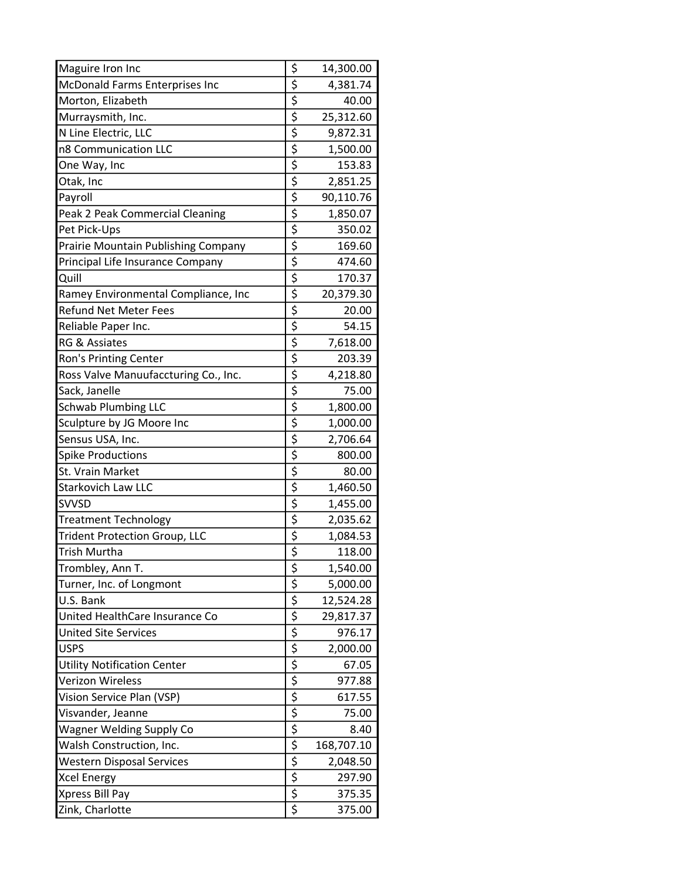| Maguire Iron Inc                     | \$                                   | 14,300.00  |
|--------------------------------------|--------------------------------------|------------|
| McDonald Farms Enterprises Inc       | \$                                   | 4,381.74   |
| Morton, Elizabeth                    | \$                                   | 40.00      |
| Murraysmith, Inc.                    | \$                                   | 25,312.60  |
| N Line Electric, LLC                 | $\overline{\boldsymbol{\zeta}}$      | 9,872.31   |
| n8 Communication LLC                 | $\overline{\varsigma}$               | 1,500.00   |
| One Way, Inc                         | $\overline{\varsigma}$               | 153.83     |
| Otak, Inc                            | \$                                   | 2,851.25   |
| Payroll                              | \$                                   | 90,110.76  |
| Peak 2 Peak Commercial Cleaning      | \$                                   | 1,850.07   |
| Pet Pick-Ups                         | \$                                   | 350.02     |
| Prairie Mountain Publishing Company  | \$                                   | 169.60     |
| Principal Life Insurance Company     | $\overline{\xi}$                     | 474.60     |
| Quill                                | \$                                   | 170.37     |
| Ramey Environmental Compliance, Inc  | \$                                   | 20,379.30  |
| <b>Refund Net Meter Fees</b>         | \$                                   | 20.00      |
| Reliable Paper Inc.                  | $\overline{\xi}$                     | 54.15      |
| <b>RG &amp; Assiates</b>             | $rac{5}{5}$                          | 7,618.00   |
| Ron's Printing Center                |                                      | 203.39     |
| Ross Valve Manuufaccturing Co., Inc. | $\overline{\varsigma}$               | 4,218.80   |
| Sack, Janelle                        | \$                                   | 75.00      |
| <b>Schwab Plumbing LLC</b>           | \$                                   | 1,800.00   |
| Sculpture by JG Moore Inc            | $\overline{\xi}$                     | 1,000.00   |
| Sensus USA, Inc.                     | $\overline{\varsigma}$               | 2,706.64   |
| <b>Spike Productions</b>             | $\overline{\varsigma}$               | 800.00     |
| St. Vrain Market                     | \$                                   | 80.00      |
| <b>Starkovich Law LLC</b>            | $\overline{\boldsymbol{\varsigma}}$  | 1,460.50   |
| <b>SVVSD</b>                         | \$                                   | 1,455.00   |
| <b>Treatment Technology</b>          | \$                                   | 2,035.62   |
| <b>Trident Protection Group, LLC</b> | $rac{5}{5}$                          | 1,084.53   |
| Trish Murtha                         |                                      | 118.00     |
| Trombley, Ann T.                     | \$                                   | 1,540.00   |
| Turner, Inc. of Longmont             | $\overline{\xi}$                     | 5,000.00   |
| U.S. Bank                            | $\overline{\xi}$                     | 12,524.28  |
| United HealthCare Insurance Co       | $\overline{\xi}$                     | 29,817.37  |
| <b>United Site Services</b>          | $\frac{1}{5}$<br>$\frac{1}{5}$       | 976.17     |
| <b>USPS</b>                          |                                      | 2,000.00   |
| <b>Utility Notification Center</b>   |                                      | 67.05      |
| Verizon Wireless                     | $\overline{\overline{\overline{z}}}$ | 977.88     |
| Vision Service Plan (VSP)            | $\overline{\xi}$                     | 617.55     |
| Visvander, Jeanne                    | $\overline{\xi}$                     | 75.00      |
| <b>Wagner Welding Supply Co</b>      | $\overline{\xi}$                     | 8.40       |
| Walsh Construction, Inc.             | \$                                   | 168,707.10 |
| <b>Western Disposal Services</b>     | $rac{5}{5}$                          | 2,048.50   |
| <b>Xcel Energy</b>                   |                                      | 297.90     |
| Xpress Bill Pay                      | $\overline{\xi}$                     | 375.35     |
| Zink, Charlotte                      | \$                                   | 375.00     |